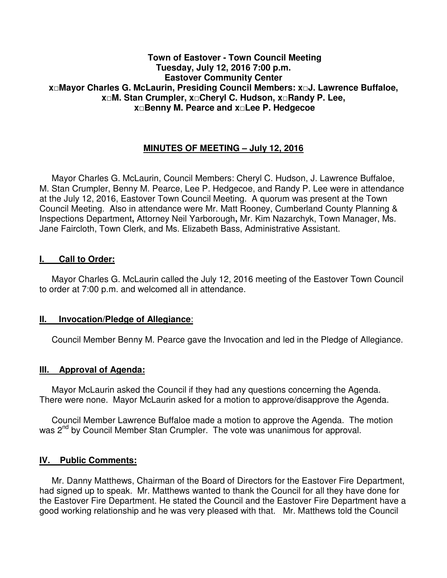### **Town of Eastover - Town Council Meeting Tuesday, July 12, 2016 7:00 p.m. Eastover Community Center x□Mayor Charles G. McLaurin, Presiding Council Members: x□J. Lawrence Buffaloe, x□M. Stan Crumpler, x□Cheryl C. Hudson, x□Randy P. Lee, x□Benny M. Pearce and x□Lee P. Hedgecoe**

# **MINUTES OF MEETING – July 12, 2016**

 Mayor Charles G. McLaurin, Council Members: Cheryl C. Hudson, J. Lawrence Buffaloe, M. Stan Crumpler, Benny M. Pearce, Lee P. Hedgecoe, and Randy P. Lee were in attendance at the July 12, 2016, Eastover Town Council Meeting. A quorum was present at the Town Council Meeting. Also in attendance were Mr. Matt Rooney, Cumberland County Planning & Inspections Department**,** Attorney Neil Yarborough**,** Mr. Kim Nazarchyk, Town Manager, Ms. Jane Faircloth, Town Clerk, and Ms. Elizabeth Bass, Administrative Assistant.

#### **I. Call to Order:**

 Mayor Charles G. McLaurin called the July 12, 2016 meeting of the Eastover Town Council to order at 7:00 p.m. and welcomed all in attendance.

#### **II. Invocation/Pledge of Allegiance**:

Council Member Benny M. Pearce gave the Invocation and led in the Pledge of Allegiance.

### **III. Approval of Agenda:**

 Mayor McLaurin asked the Council if they had any questions concerning the Agenda. There were none. Mayor McLaurin asked for a motion to approve/disapprove the Agenda.

 Council Member Lawrence Buffaloe made a motion to approve the Agenda. The motion was 2<sup>nd</sup> by Council Member Stan Crumpler. The vote was unanimous for approval.

#### **IV. Public Comments:**

 Mr. Danny Matthews, Chairman of the Board of Directors for the Eastover Fire Department, had signed up to speak. Mr. Matthews wanted to thank the Council for all they have done for the Eastover Fire Department. He stated the Council and the Eastover Fire Department have a good working relationship and he was very pleased with that. Mr. Matthews told the Council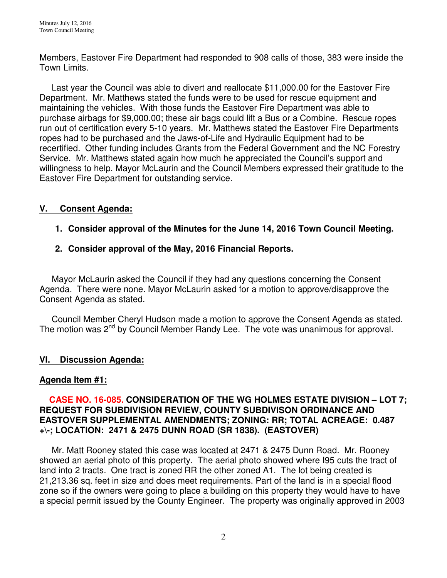Members, Eastover Fire Department had responded to 908 calls of those, 383 were inside the Town Limits.

 Last year the Council was able to divert and reallocate \$11,000.00 for the Eastover Fire Department. Mr. Matthews stated the funds were to be used for rescue equipment and maintaining the vehicles. With those funds the Eastover Fire Department was able to purchase airbags for \$9,000.00; these air bags could lift a Bus or a Combine. Rescue ropes run out of certification every 5-10 years. Mr. Matthews stated the Eastover Fire Departments ropes had to be purchased and the Jaws-of-Life and Hydraulic Equipment had to be recertified. Other funding includes Grants from the Federal Government and the NC Forestry Service. Mr. Matthews stated again how much he appreciated the Council's support and willingness to help. Mayor McLaurin and the Council Members expressed their gratitude to the Eastover Fire Department for outstanding service.

# **V. Consent Agenda:**

# **1. Consider approval of the Minutes for the June 14, 2016 Town Council Meeting.**

## **2. Consider approval of the May, 2016 Financial Reports.**

 Mayor McLaurin asked the Council if they had any questions concerning the Consent Agenda. There were none. Mayor McLaurin asked for a motion to approve/disapprove the Consent Agenda as stated.

 Council Member Cheryl Hudson made a motion to approve the Consent Agenda as stated. The motion was 2<sup>nd</sup> by Council Member Randy Lee. The vote was unanimous for approval.

### **VI. Discussion Agenda:**

### **Agenda Item #1:**

### **CASE NO. 16-085. CONSIDERATION OF THE WG HOLMES ESTATE DIVISION – LOT 7; REQUEST FOR SUBDIVISION REVIEW, COUNTY SUBDIVISON ORDINANCE AND EASTOVER SUPPLEMENTAL AMENDMENTS; ZONING: RR; TOTAL ACREAGE: 0.487 +\-; LOCATION: 2471 & 2475 DUNN ROAD (SR 1838). (EASTOVER)**

Mr. Matt Rooney stated this case was located at 2471 & 2475 Dunn Road. Mr. Rooney showed an aerial photo of this property. The aerial photo showed where I95 cuts the tract of land into 2 tracts. One tract is zoned RR the other zoned A1. The lot being created is 21,213.36 sq. feet in size and does meet requirements. Part of the land is in a special flood zone so if the owners were going to place a building on this property they would have to have a special permit issued by the County Engineer. The property was originally approved in 2003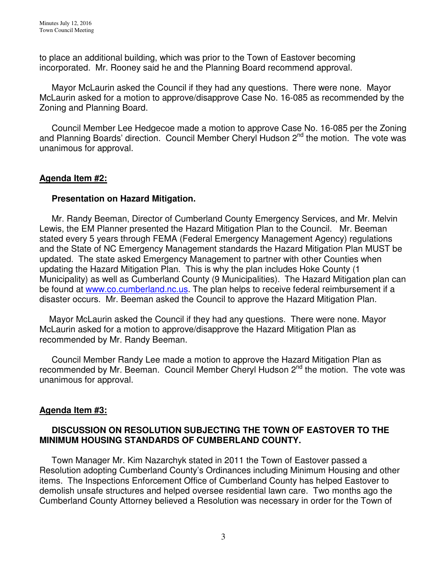to place an additional building, which was prior to the Town of Eastover becoming incorporated. Mr. Rooney said he and the Planning Board recommend approval.

 Mayor McLaurin asked the Council if they had any questions. There were none. Mayor McLaurin asked for a motion to approve/disapprove Case No. 16-085 as recommended by the Zoning and Planning Board.

Council Member Lee Hedgecoe made a motion to approve Case No. 16-085 per the Zoning and Planning Boards' direction. Council Member Cheryl Hudson 2<sup>nd</sup> the motion. The vote was unanimous for approval.

### **Agenda Item #2:**

### **Presentation on Hazard Mitigation.**

Mr. Randy Beeman, Director of Cumberland County Emergency Services, and Mr. Melvin Lewis, the EM Planner presented the Hazard Mitigation Plan to the Council. Mr. Beeman stated every 5 years through FEMA (Federal Emergency Management Agency) regulations and the State of NC Emergency Management standards the Hazard Mitigation Plan MUST be updated. The state asked Emergency Management to partner with other Counties when updating the Hazard Mitigation Plan. This is why the plan includes Hoke County (1 Municipality) as well as Cumberland County (9 Municipalities). The Hazard Mitigation plan can be found at www.co.cumberland.nc.us. The plan helps to receive federal reimbursement if a disaster occurs. Mr. Beeman asked the Council to approve the Hazard Mitigation Plan.

 Mayor McLaurin asked the Council if they had any questions. There were none. Mayor McLaurin asked for a motion to approve/disapprove the Hazard Mitigation Plan as recommended by Mr. Randy Beeman.

 Council Member Randy Lee made a motion to approve the Hazard Mitigation Plan as recommended by Mr. Beeman. Council Member Cheryl Hudson 2<sup>nd</sup> the motion. The vote was unanimous for approval.

### **Agenda Item #3:**

## **DISCUSSION ON RESOLUTION SUBJECTING THE TOWN OF EASTOVER TO THE MINIMUM HOUSING STANDARDS OF CUMBERLAND COUNTY.**

Town Manager Mr. Kim Nazarchyk stated in 2011 the Town of Eastover passed a Resolution adopting Cumberland County's Ordinances including Minimum Housing and other items. The Inspections Enforcement Office of Cumberland County has helped Eastover to demolish unsafe structures and helped oversee residential lawn care. Two months ago the Cumberland County Attorney believed a Resolution was necessary in order for the Town of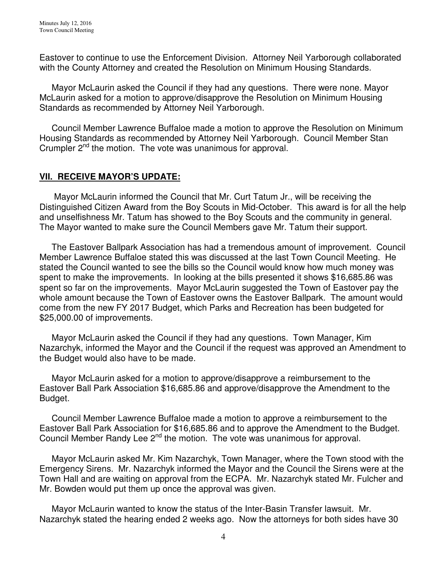Eastover to continue to use the Enforcement Division. Attorney Neil Yarborough collaborated with the County Attorney and created the Resolution on Minimum Housing Standards.

 Mayor McLaurin asked the Council if they had any questions. There were none. Mayor McLaurin asked for a motion to approve/disapprove the Resolution on Minimum Housing Standards as recommended by Attorney Neil Yarborough.

 Council Member Lawrence Buffaloe made a motion to approve the Resolution on Minimum Housing Standards as recommended by Attorney Neil Yarborough. Council Member Stan Crumpler 2<sup>nd</sup> the motion. The vote was unanimous for approval.

# **VII. RECEIVE MAYOR'S UPDATE:**

 Mayor McLaurin informed the Council that Mr. Curt Tatum Jr., will be receiving the Distinguished Citizen Award from the Boy Scouts in Mid-October. This award is for all the help and unselfishness Mr. Tatum has showed to the Boy Scouts and the community in general. The Mayor wanted to make sure the Council Members gave Mr. Tatum their support.

 The Eastover Ballpark Association has had a tremendous amount of improvement. Council Member Lawrence Buffaloe stated this was discussed at the last Town Council Meeting. He stated the Council wanted to see the bills so the Council would know how much money was spent to make the improvements. In looking at the bills presented it shows \$16,685.86 was spent so far on the improvements. Mayor McLaurin suggested the Town of Eastover pay the whole amount because the Town of Eastover owns the Eastover Ballpark. The amount would come from the new FY 2017 Budget, which Parks and Recreation has been budgeted for \$25,000.00 of improvements.

 Mayor McLaurin asked the Council if they had any questions. Town Manager, Kim Nazarchyk, informed the Mayor and the Council if the request was approved an Amendment to the Budget would also have to be made.

 Mayor McLaurin asked for a motion to approve/disapprove a reimbursement to the Eastover Ball Park Association \$16,685.86 and approve/disapprove the Amendment to the Budget.

 Council Member Lawrence Buffaloe made a motion to approve a reimbursement to the Eastover Ball Park Association for \$16,685.86 and to approve the Amendment to the Budget. Council Member Randy Lee 2<sup>nd</sup> the motion. The vote was unanimous for approval.

 Mayor McLaurin asked Mr. Kim Nazarchyk, Town Manager, where the Town stood with the Emergency Sirens. Mr. Nazarchyk informed the Mayor and the Council the Sirens were at the Town Hall and are waiting on approval from the ECPA. Mr. Nazarchyk stated Mr. Fulcher and Mr. Bowden would put them up once the approval was given.

 Mayor McLaurin wanted to know the status of the Inter-Basin Transfer lawsuit. Mr. Nazarchyk stated the hearing ended 2 weeks ago. Now the attorneys for both sides have 30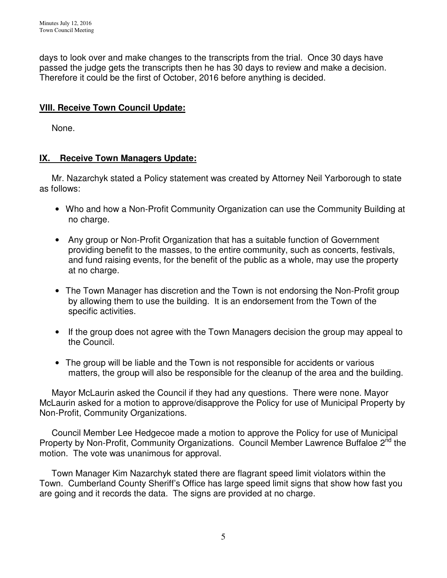days to look over and make changes to the transcripts from the trial. Once 30 days have passed the judge gets the transcripts then he has 30 days to review and make a decision. Therefore it could be the first of October, 2016 before anything is decided.

# **VIII. Receive Town Council Update:**

None.

# **IX. Receive Town Managers Update:**

 Mr. Nazarchyk stated a Policy statement was created by Attorney Neil Yarborough to state as follows:

- Who and how a Non-Profit Community Organization can use the Community Building at no charge.
- Any group or Non-Profit Organization that has a suitable function of Government providing benefit to the masses, to the entire community, such as concerts, festivals, and fund raising events, for the benefit of the public as a whole, may use the property at no charge.
- The Town Manager has discretion and the Town is not endorsing the Non-Profit group by allowing them to use the building. It is an endorsement from the Town of the specific activities.
- If the group does not agree with the Town Managers decision the group may appeal to the Council.
- The group will be liable and the Town is not responsible for accidents or various matters, the group will also be responsible for the cleanup of the area and the building.

 Mayor McLaurin asked the Council if they had any questions. There were none. Mayor McLaurin asked for a motion to approve/disapprove the Policy for use of Municipal Property by Non-Profit, Community Organizations.

 Council Member Lee Hedgecoe made a motion to approve the Policy for use of Municipal Property by Non-Profit, Community Organizations. Council Member Lawrence Buffaloe 2<sup>nd</sup> the motion. The vote was unanimous for approval.

 Town Manager Kim Nazarchyk stated there are flagrant speed limit violators within the Town. Cumberland County Sheriff's Office has large speed limit signs that show how fast you are going and it records the data. The signs are provided at no charge.